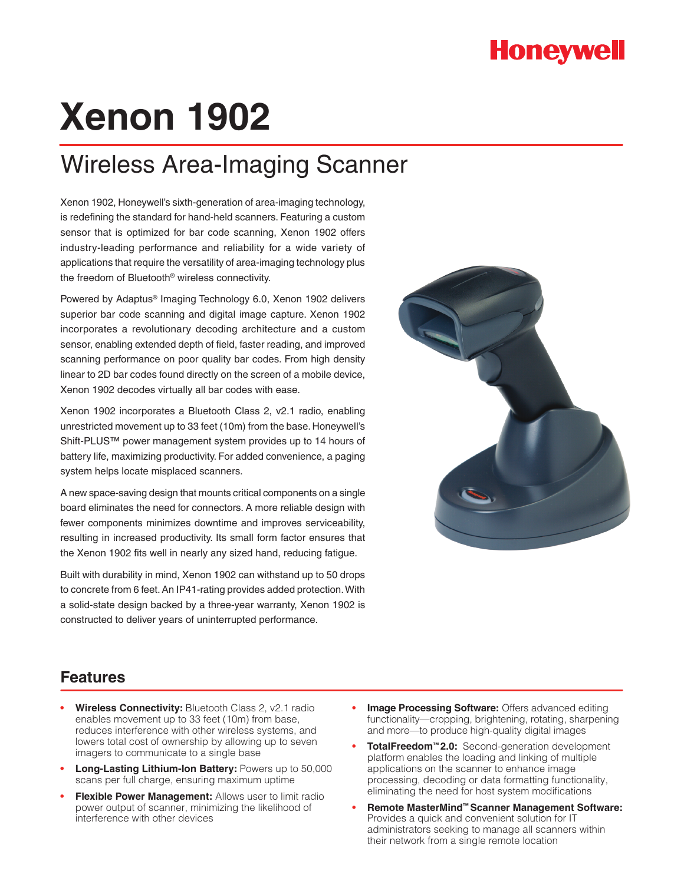## **Honeywell**

# **Xenon 1902**

# Wireless Area-Imaging Scanner

Xenon 1902, Honeywell's sixth-generation of area-imaging technology, is redefining the standard for hand-held scanners. Featuring a custom sensor that is optimized for bar code scanning, Xenon 1902 offers industry-leading performance and reliability for a wide variety of applications that require the versatility of area-imaging technology plus the freedom of Bluetooth® wireless connectivity.

Powered by Adaptus® Imaging Technology 6.0, Xenon 1902 delivers superior bar code scanning and digital image capture. Xenon 1902 incorporates a revolutionary decoding architecture and a custom sensor, enabling extended depth of field, faster reading, and improved scanning performance on poor quality bar codes. From high density linear to 2D bar codes found directly on the screen of a mobile device, Xenon 1902 decodes virtually all bar codes with ease.

Xenon 1902 incorporates a Bluetooth Class 2, v2.1 radio, enabling unrestricted movement up to 33 feet (10m) from the base. Honeywell's Shift-PLUS™ power management system provides up to 14 hours of battery life, maximizing productivity. For added convenience, a paging system helps locate misplaced scanners.

A new space-saving design that mounts critical components on a single board eliminates the need for connectors. A more reliable design with fewer components minimizes downtime and improves serviceability, resulting in increased productivity. Its small form factor ensures that the Xenon 1902 fits well in nearly any sized hand, reducing fatigue.

Built with durability in mind, Xenon 1902 can withstand up to 50 drops to concrete from 6 feet. An IP41-rating provides added protection. With a solid-state design backed by a three-year warranty, Xenon 1902 is constructed to deliver years of uninterrupted performance.



#### **Features**

- **Wireless Connectivity: Bluetooth Class 2, v2.1 radio** enables movement up to 33 feet (10m) from base, reduces interference with other wireless systems, and lowers total cost of ownership by allowing up to seven imagers to communicate to a single base
- **Long-Lasting Lithium-Ion Battery: Powers up to 50,000** scans per full charge, ensuring maximum uptime
- **Flexible Power Management:** Allows user to limit radio power output of scanner, minimizing the likelihood of interference with other devices
- **Image Processing Software: Offers advanced editing** functionality—cropping, brightening, rotating, sharpening and more—to produce high-quality digital images
- **• TotalFreedom™ 2.0:** Second-generation development platform enables the loading and linking of multiple applications on the scanner to enhance image processing, decoding or data formatting functionality, eliminating the need for host system modifications
- **Remote MasterMind™ Scanner Management Software:** Provides a quick and convenient solution for IT administrators seeking to manage all scanners within their network from a single remote location